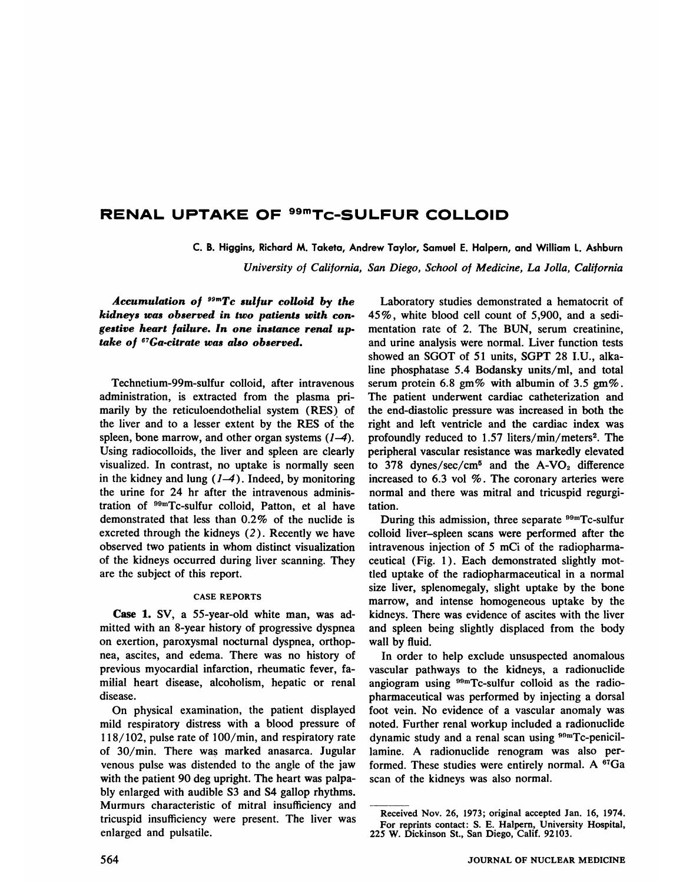# **RENAL UPTAKE OF 99mTc—SULFUR COLLOID**

C. B. Higgins, Richard M. Taketa, Andrew Taylor, Samuel E. Halpern, and William 1. Ashburn

*University of California, San Diego, School of Medicine, La Jolla, California*

*Accumulation of 99mTc sulfur colloid by the kidneys was observed in two patients with con gestive heart failure. In one instance renal up take of 67Ga-citrate was also observed.*

Technetium-99m-sulfur colloid, after intravenous administration, is extracted from the plasma pri marily by the reticuloendothelial system (RES) of the liver and to a lesser extent by the RES of the spleen, bone marrow, and other organ systems  $(1-4)$ . Using radiocolloids, the liver and spleen are clearly visualized. In contrast, no uptake is normally seen in the kidney and lung  $(1-4)$ . Indeed, by monitoring the urine for 24 hr after the intravenous adminis tration of <sup>99m</sup>Tc-sulfur colloid, Patton, et al have demonstrated that less than 0.2% of the nuclide is excreted through the kidneys  $(2)$ . Recently we have observed two patients in whom distinct visualization of the kidneys occurred during liver scanning. They are the subject of this report.

## CASE REPORTS

Case 1. SV, a 55-year-old white man, was ad mitted with an 8-year history of progressive dyspnea on exertion, paroxysmal nocturnal dyspnea, orthop nea, ascites, and edema. There was no history of previous myocardial infarction, rheumatic fever, fa miial heart disease, alcoholism, hepatic or renal disease.

On physical examination, the patient displayed mild respiratory distress with a blood pressure of 118/102, pulse rate of 100/mm, and respiratory rate of 30/min. There was marked anasarca. Jugular venous pulse was distended to the angle of the jaw with the patient 90 deg upright. The heart was palpa bly enlarged with audible 53 and 54 gallop rhythms. Murmurs characteristic of mitral insufficiency and tricuspid insufficiency were present. The liver was enlarged and pulsatile.

Laboratory studies demonstrated a hematocrit of *45 % , white blood cell count of 5,900, and a sedi* mentation rate of 2. The BUN, serum creatinine, and urine analysis were normal. Liver function tests showed an SGOT of 51 units, SGPT 28 I.U., alka line phosphatase 5.4 Bodansky units/ml, and total serum protein 6.8 gm% with albumin of 3.5 gm%. The patient underwent cardiac catheterization and the end-diastolic pressure was increased in both the right and left ventricle and the cardiac index was profoundly reduced to  $1.57$  liters/min/meters<sup>2</sup>. The peripheral vascular resistance was markedly elevated to 378 dynes/sec/cm<sup>5</sup> and the A-VO<sub>2</sub> difference increased to  $6.3$  vol  $%$ . The coronary arteries were normal and there was mitral and tricuspid regurgi tation.

During this admission, three separate  $99mTc$ -sulfur colloid liver—spleen scans were performed after the intravenous injection of 5 mCi of the radiopharma ceutical (Fig. 1) . Each demonstrated slightly mot tled uptake of the radiopharmaceutical in a normal size liver, splenomegaly, slight uptake by the bone marrow, and intense homogeneous uptake by the kidneys. There was evidence of ascites with the liver and spleen being slightly displaced from the body wall by fluid.

In order to help exclude unsuspected anomalous vascular pathways to the kidneys, a radionuclide angiogram using  $99mTc$ -sulfur colloid as the radiopharmaceutical was performed by injecting a dorsal foot vein. No evidence of a vascular anomaly was noted. Further renal workup included a radionuclide dynamic study and a renal scan using <sup>99m</sup>Tc-penicillamine. A radionuclide renogram was also per formed. These studies were entirely normal. A  $67Ga$ scan of the kidneys was also normal.

Received Nov. 26, 1973; original accepted Jan. 16, 1974. For reprints contact: S. E. Halpern, University Hospital, 225 W. Dickinson St., San Diego, Calif. 92103.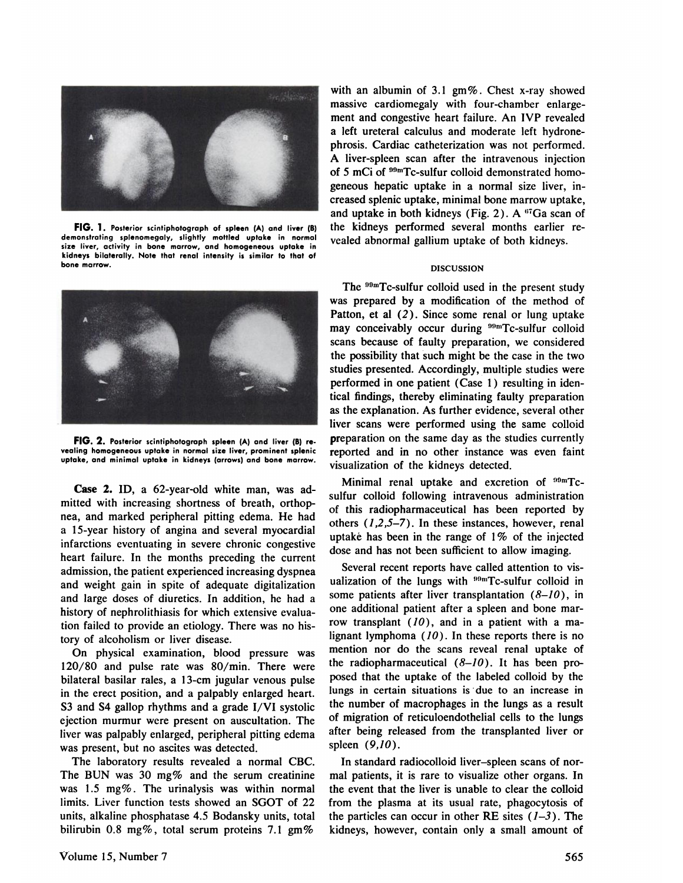

**FIG. 1.** Posterior scintiphotograph of spleen (A) and liver (B) **demonstrating splenomegaly, slightly mottled uptake in normal size liver, activity in bone marrow, and homogeneous uptake in kidneys bilaterally. Note that renal intensity is similar to that of bone marrow.**



**FIG.2. Posterior scintiphotograph spleen(A)andliver(B)re vealing homogeneous uptake in normal size liver, prominent splenic uptake, and minimal uptake in kidneys (arrows) and bone marrow.**

Case 2. ID, a 62-year-old white man, was ad mitted with increasing shortness of breath, orthop nea, and marked peripheral pitting edema. He had a 15-year history of angina and several myocardial infarctions eventuating in severe chronic congestive heart failure. In the months preceding the current admission, the patient experienced increasing dyspnea and weight gain in spite of adequate digitalization and large doses of diuretics. In addition, he had a history of nephrolithiasis for which extensive evalua tion failed to provide an etiology. There was no his tory of alcoholism or liver disease.

On physical examination, blood pressure was 120/80 and pulse rate was 80/mm. There were bilateral basilar rales, a 13-cm jugular venous pulse in the erect position, and a palpably enlarged heart. 53 and 54 gallop rhythms and a grade 1/VI systolic ejection murmur were present on auscultation. The liver was palpably enlarged, peripheral pitting edema was present, but no ascites was detected.

The laboratory results revealed a normal CBC. The BUN was 30 mg% and the serum creatinine was 1.5 mg%. The urinalysis was within normal limits. Liver function tests showed an SGOT of 22 units, alkaline phosphatase 4.5 Bodansky units, total bilirubin 0.8 mg%, total serum proteins 7.1 gm%

with an albumin of 3.1  $\text{gm}\%$ . Chest x-ray showed massive cardiomegaly with four-chamber enlarge ment and congestive heart failure. An IVP revealed a left ureteral calculus and moderate left hydrone phrosis. Cardiac catheterization was not performed. A liver-spleen scan after the intravenous injection of 5 mCi of <sup>99m</sup>Tc-sulfur colloid demonstrated homogeneous hepatic uptake in a normal size liver, in creased splenic uptake, minimal bone marrow uptake, and uptake in both kidneys (Fig. 2). A  $^{67}Ga$  scan of the kidneys performed several months earlier re vealed abnormal gallium uptake of both kidneys.

### DISCUSSION

The  $99m$ Tc-sulfur colloid used in the present study was prepared by a modification of the method of Patton, et al (2). Since some renal or lung uptake may conceivably occur during <sup>99m</sup>Tc-sulfur colloid scans because of faulty preparation, we considered the possibility that such might be the case in the two studies presented. Accordingly, multiple studies were performed in one patient (Case 1) resulting in iden tical findings, thereby eliminating faulty preparation as the explanation. As further evidence, several other liver scans were performed using the same colloid preparation on the same day as the studies currently reported and in no other instance was even faint visualization of the kidneys detected.

Minimal renal uptake and excretion of  $\rm{^{99m}Tc}$ sulfur colloid following intravenous administration of this radiopharmaceutical has been reported by others  $(1,2,5-7)$ . In these instances, however, renal uptake has been in the range of  $1\%$  of the injected dose and has not been sufficient to allow imaging.

Several recent reports have called attention to vis ualization of the lungs with  $^{99m}$ Tc-sulfur colloid in some patients after liver transplantation  $(8-10)$ , in one additional patient after a spleen and bone mar row transplant  $(10)$ , and in a patient with a malignant lymphoma  $(10)$ . In these reports there is no mention nor do the scans reveal renal uptake of the radiopharmaceutical  $(8-10)$ . It has been proposed that the uptake of the labeled colloid by the lungs in certain situations is due to an increase in the number of macrophages in the lungs as a result of migration of reticuloendothelial cells to the lungs after being released from the transplanted liver or spleen (9,10).

In standard radiocolloid liver-spleen scans of normal patients, it is rare to visualize other organs. In the event that the liver is unable to clear the colloid from the plasma at its usual rate, phagocytosis of the particles can occur in other RE sites  $(1-3)$ . The kidneys, however, contain only a small amount of